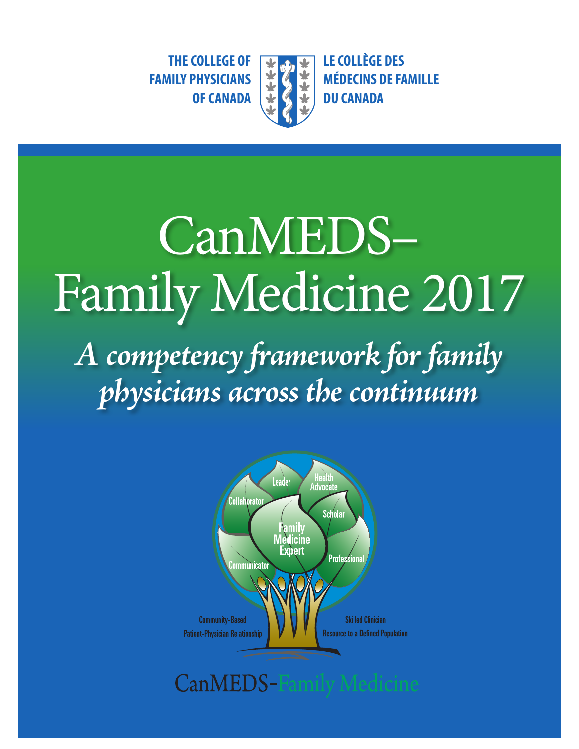**THE COLLEGE OF**  $\begin{array}{|c|c|c|c|c|}\n\hline\n\end{array}$  **<b>THE COLLEGE OF**  $\begin{array}{|c|c|c|c|c|}\n\hline\n\end{array}$  **LE COLLÈGE DES**<br> **FAMILY PHYSICIANS**  $\begin{array}{|c|c|c|}\n\hline\n\end{array}$  **Examing** DE FAMILY PHYSICIANS



**MÉDECINS DE FAMILLE OF CANADA**  $\downarrow$  **(4 + DU CANADA** 

# CanMEDS– Family Medicine 2017

*A competency framework for family physicians across the continuum* 



**CanMEDS-Family Medicine**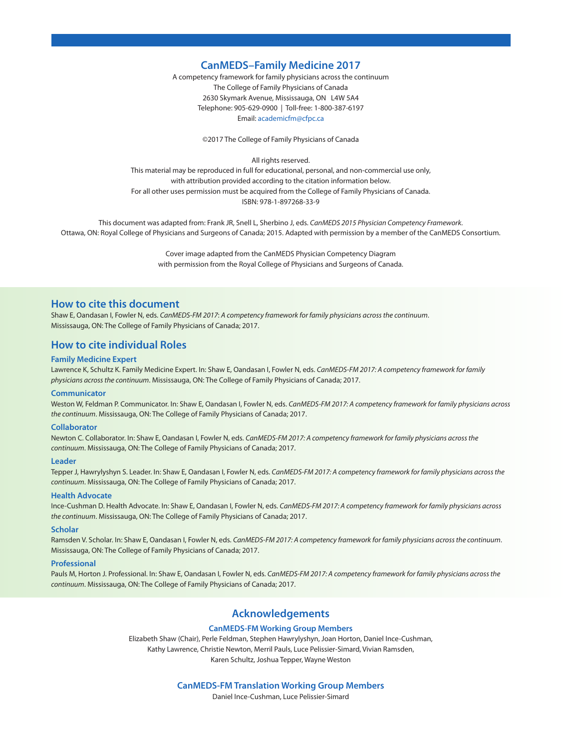#### **CanMEDS–Family Medicine 2017**

A competency framework for family physicians across the continuum The College of Family Physicians of Canada 2630 Skymark Avenue, Mississauga, ON L4W 5A4 Telephone: 905-629-0900 | Toll-free: 1-800-387-6197 Email: [academicfm@cfpc.ca](mailto:academicfm@cfpc.ca) 

©2017 The College of Family Physicians of Canada

All rights reserved.

This material may be reproduced in full for educational, personal, and non-commercial use only, with attribution provided according to the citation information below. For all other uses permission must be acquired from the College of Family Physicians of Canada. ISBN: 978-1-897268-33-9

This document was adapted from: Frank JR, Snell L, Sherbino J, eds. *CanMEDS 2015 Physician Competency Framework*. Ottawa, ON: Royal College of Physicians and Surgeons of Canada; 2015. Adapted with permission by a member of the CanMEDS Consortium.

> Cover image adapted from the CanMEDS Physician Competency Diagram with permission from the Royal College of Physicians and Surgeons of Canada.

#### **How to cite this document**

Shaw E, Oandasan I, Fowler N, eds. *CanMEDS-FM 2017*: *A competency framework for family physicians across the continuum*. Mississauga, ON: The College of Family Physicians of Canada; 2017.

#### **How to cite individual Roles**

#### **Family Medicine Expert**

Lawrence K, Schultz K. Family Medicine Expert. In: Shaw E, Oandasan I, Fowler N, eds. *CanMEDS-FM 2017: A competency framework for family physicians across the continuum*. Mississauga, ON: The College of Family Physicians of Canada; 2017.

#### **Communicator**

Weston W, Feldman P. Communicator. In: Shaw E, Oandasan I, Fowler N, eds. *CanMEDS-FM 2017: A competency framework for family physicians across the continuum*. Mississauga, ON: The College of Family Physicians of Canada; 2017.

#### **Collaborator**

Newton C. Collaborator. In: Shaw E, Oandasan I, Fowler N, eds. *CanMEDS-FM 2017: A competency framework for family physicians across the continuum*. Mississauga, ON: The College of Family Physicians of Canada; 2017.

#### **Leader**

Tepper J, Hawrylyshyn S. Leader. In: Shaw E, Oandasan I, Fowler N, eds. *CanMEDS-FM 2017: A competency framework for family physicians across the continuum*. Mississauga, ON: The College of Family Physicians of Canada; 2017.

#### **Health Advocate**

Ince-Cushman D. Health Advocate. In: Shaw E, Oandasan I, Fowler N, eds. *CanMEDS-FM 2017: A competency framework for family physicians across the continuum*. Mississauga, ON: The College of Family Physicians of Canada; 2017.

#### **Scholar**

Ramsden V. Scholar. In: Shaw E, Oandasan I, Fowler N, eds. *CanMEDS-FM 2017: A competency framework for family physicians across the continuum*. Mississauga, ON: The College of Family Physicians of Canada; 2017.

#### **Professional**

Pauls M, Horton J. Professional. In: Shaw E, Oandasan I, Fowler N, eds. *CanMEDS-FM 2017: A competency framework for family physicians across the continuum*. Mississauga, ON: The College of Family Physicians of Canada; 2017.

#### **Acknowledgements**

#### **CanMEDS-FM Working Group Members**

Elizabeth Shaw (Chair), Perle Feldman, Stephen Hawrylyshyn, Joan Horton, Daniel Ince-Cushman, Kathy Lawrence, Christie Newton, Merril Pauls, Luce Pelissier-Simard, Vivian Ramsden, Karen Schultz, Joshua Tepper, Wayne Weston

#### **CanMEDS-FM Translation Working Group Members**

Daniel Ince-Cushman, Luce Pelissier-Simard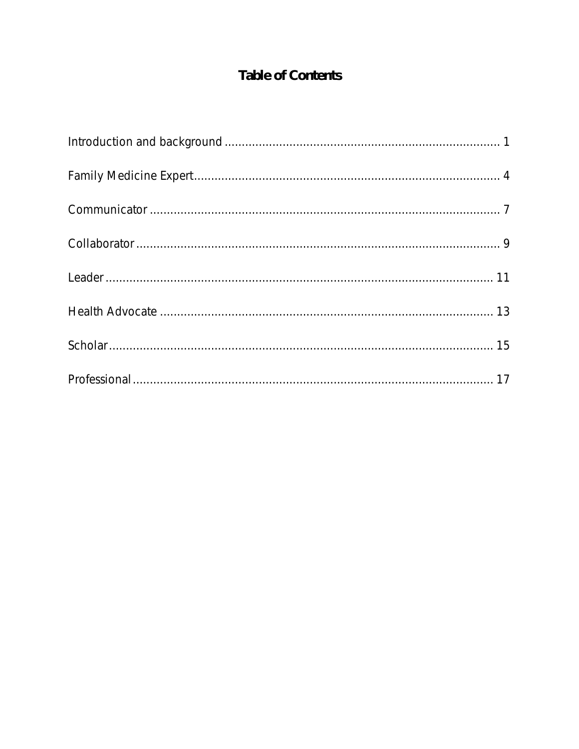# Table of Contents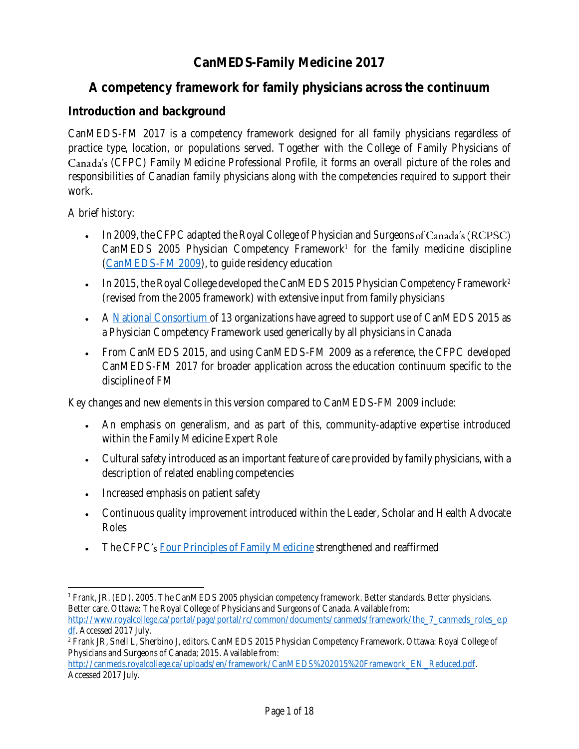# **CanMEDS-Family Medicine 2017**

## **A competency framework for family physicians across the continuum**

#### **Introduction and background**

practice type, location, or populations served. Together with the College of Family Physicians of (CFPC) Family Medicine Professional Profile, it forms an overall picture of the roles and responsibilities of Canadian family physicians along with the competencies required to support their CanMEDS-FM 2017 is a competency framework designed for all family physicians regardless of work.

A brief history:

- • In 2009, the CFPC adapted the Royal College of Physician and Surgeons CanMEDS 2005 Physician Competency Framework<sup>1</sup> for the family medicine discipline [\(CanMEDS-FM 2009\)](http://www.cfpc.ca/uploadedFiles/Education/CanMeds%20FM%20Eng.pdf), to guide residency education
- (revised from the 2005 framework) with extensive input from family physicians • In 2015, the Royal College developed the CanMEDS 2015 Physician Competency Framework<sup>2</sup>
- A <u>National Consortium o</u>f 13 organizations have agreed to support use of CanMEDS 2015 as a Physician Competency Framework used generically by all physicians in Canada
- • From CanMEDS 2015, and using CanMEDS-FM 2009 as a reference, the CFPC developed CanMEDS-FM 2017 for broader application across the education continuum specific to the discipline of FM

Key changes and new elements in this version compared to CanMEDS-FM 2009 include:

- • An emphasis on generalism, and as part of this, community-adaptive expertise introduced within the Family Medicine Expert Role
- • Cultural safety introduced as an important feature of care provided by family physicians, with a description of related enabling competencies
- Increased emphasis on patient safety
- • Continuous quality improvement introduced within the Leader, Scholar and Health Advocate Roles
- The CFPC's  $\underline{\text{Four Principles of Family Medicine}}$  strengthened and reaffirmed

```
df. Accessed 2017 July.
```
[http://canmeds.royalcollege.ca/uploads/en/framework/CanMEDS%202015%20Framework\\_EN\\_Reduced.pdf.](http://canmeds.royalcollege.ca/uploads/en/framework/CanMEDS%202015%20Framework_EN_Reduced.pdf)  Accessed 2017 July.

l 1 Frank, JR. (ED). 2005. The CanMEDS 2005 physician competency framework. Better standards. Better physicians. Better care. Ottawa: The Royal College of Physicians and Surgeons of Canada. Available from: http://www.royalcollege.ca/portal/page/portal/rc/common/documents/canmeds/framework/the\_7\_canmeds\_roles\_e.p

<sup>2</sup> Frank JR, Snell L, Sherbino J, editors. CanMEDS 2015 Physician Competency Framework. Ottawa: Royal College of Physicians and Surgeons of Canada; 2015. Available from: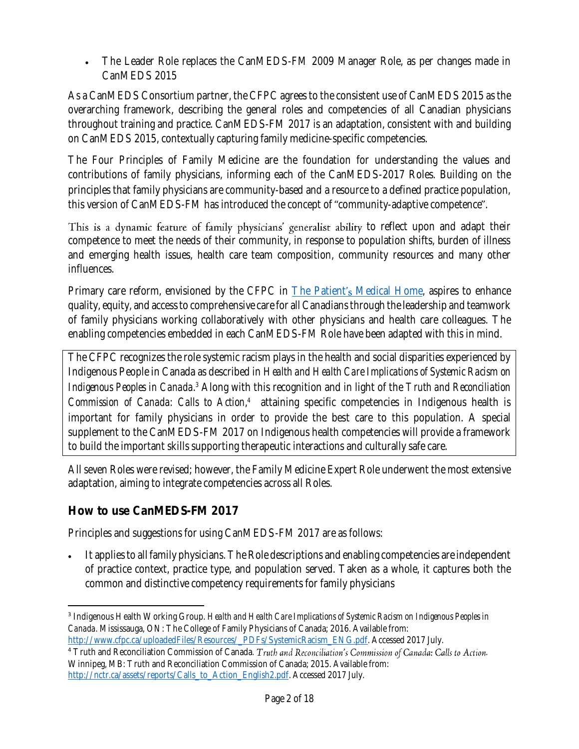• The Leader Role replaces the CanMEDS-FM 2009 Manager Role, as per changes made in CanMEDS 2015

 As a CanMEDS Consortium partner, the CFPC agrees to the consistent use of CanMEDS 2015 as the throughout training and practice. CanMEDS-FM 2017 is an adaptation, consistent with and building overarching framework, describing the general roles and competencies of all Canadian physicians on CanMEDS 2015, contextually capturing family medicine-specific competencies.

 The Four Principles of Family Medicine are the foundation for understanding the values and contributions of family physicians, informing each of the CanMEDS-2017 Roles*.* Building on the principles that family physicians are community-based and a resource to a defined practice population, this version of CanMEDS-FM has introduced the concept of "community-adaptive competence".

 to reflect upon and adapt their competence to meet the needs of their community, in response to population shifts, burden of illness and emerging health issues, health care team composition, community resources and many other influences.

Primary care reform, envisioned by the CFPC in <u>The Patient's Medical Home</u>, aspires to enhance quality, equity, and access to comprehensive care for all Canadians through the leadership and teamwork of family physicians working collaboratively with other physicians and health care colleagues. The enabling competencies embedded in each CanMEDS-FM Role have been adapted with this in mind.

 The CFPC recognizes the role systemic racism plays in the health and social disparities experienced by Indigenous People in Canada as described in *Health and Health Care Implications of Systemic Racism on*  Indigenous Peoples in Canada.<sup>3</sup> Along with this recognition and in light of the *Truth and Reconciliation* Commission of Canada: Calls to Action,<sup>4</sup> attaining specific competencies in Indigenous health is important for family physicians in order to provide the best care to this population. A special supplement to the CanMEDS-FM 2017 on Indigenous health competencies will provide a framework to build the important skills supporting therapeutic interactions and culturally safe care.

 All seven Roles were revised; however, the Family Medicine Expert Role underwent the most extensive adaptation, aiming to integrate competencies across all Roles.

**How to use CanMEDS-FM 2017** 

Principles and suggestions for using CanMEDS-FM 2017 are as follows:

 • It applies to all family physicians. The Role descriptions and enabling competencies are independent of practice context, practice type, and population served. Taken as a whole, it captures both the common and distinctive competency requirements for family physicians

 $\overline{\phantom{a}}$ <sup>3</sup>Indigenous Health Working Group. *Health and Health Care Implications of Systemic Racism on Indigenous Peoples in Canada*. Mississauga, ON: The College of Family Physicians of Canada; 2016. Available from: [http://www.cfpc.ca/uploadedFiles/Resources/\\_PDFs/SystemicRacism\\_ENG.pdf.](http://www.cfpc.ca/uploadedFiles/Resources/_PDFs/SystemicRacism_ENG.pdf) Accessed 2017 July.

<sup>&</sup>lt;sup>4</sup> Truth and Reconciliation Commission of Canada. Truth and Reconciliation's Commission of Canada: Calls to Action. Winnipeg, MB: Truth and Reconciliation Commission of Canada; 2015. Available from: [http://nctr.ca/assets/reports/Calls\\_to\\_Action\\_English2.pdf.](http://nctr.ca/assets/reports/Calls_to_Action_English2.pdf) Accessed 2017 July.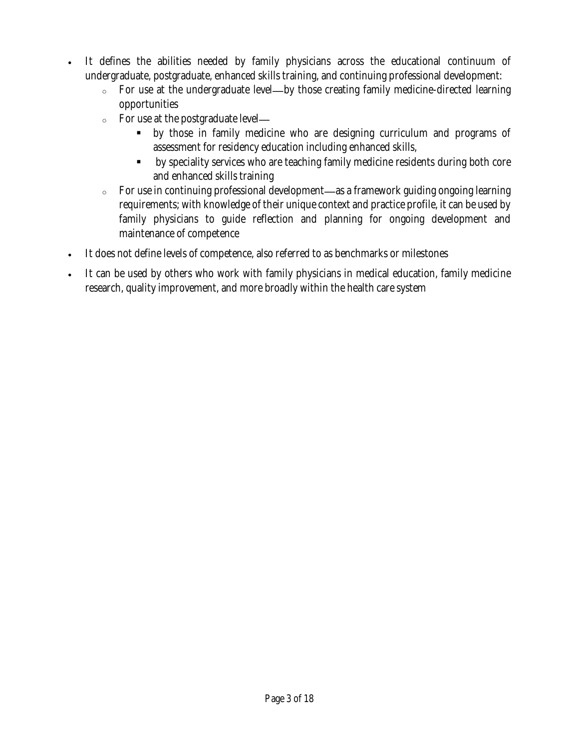- • It defines the abilities needed by family physicians across the educational continuum of undergraduate, postgraduate, enhanced skills training, and continuing professional development:
	- $\circ$  For use at the undergraduate level—by those creating family medicine-directed learning opportunities
	- <sup>o</sup> For use at the postgraduate level
		- ▪ by those in family medicine who are designing curriculum and programs of assessment for residency education including enhanced skills,
		- by speciality services who are teaching family medicine residents during both core and enhanced skills training
	- $\circ$  For use in continuing professional development—as a framework guiding ongoing learning requirements; with knowledge of their unique context and practice profile, it can be used by family physicians to guide reflection and planning for ongoing development and maintenance of competence
- It does not define levels of competence, also referred to as benchmarks or milestones
- • It can be used by others who work with family physicians in medical education, family medicine research, quality improvement, and more broadly within the health care system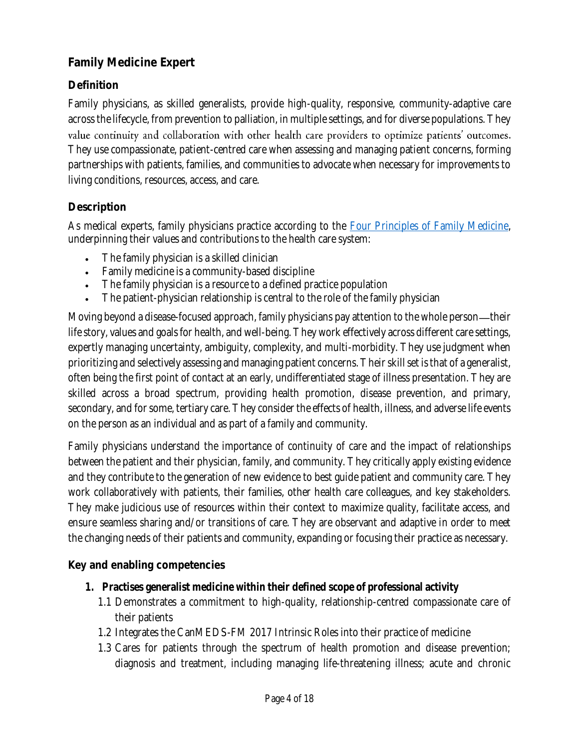## **Family Medicine Expert**

## **Definition**

 Family physicians, as skilled generalists, provide high-quality, responsive, community-adaptive care across the lifecycle, from prevention to palliation, in multiple settings, and for diverse populations. They value continuity and collaboration with other health care providers to optimize patients' outcomes. They use compassionate, patient-centred care when assessing and managing patient concerns, forming partnerships with patients, families, and communities to advocate when necessary for improvements to living conditions, resources, access, and care.

#### **Description**

As medical experts, family physicians practice according to the <u>Four Principles of Family Medicine</u>, underpinning their values and contributions to the health care system:

- The family physician is a skilled clinician
- Family medicine is a community-based discipline
- The family physician is a resource to a defined practice population
- The patient-physician relationship is central to the role of the family physician

Moving beyond a disease-focused approach, family physicians pay attention to the whole person—their life story, values and goals for health, and well-being. They work effectively across different care settings, expertly managing uncertainty, ambiguity, complexity, and multi-morbidity. They use judgment when prioritizing and selectively assessing and managing patient concerns. Their skill set is that of a generalist, often being the first point of contact at an early, undifferentiated stage of illness presentation. They are skilled across a broad spectrum, providing health promotion, disease prevention, and primary, secondary, and for some, tertiary care. They consider the effects of health, illness, and adverse life events on the person as an individual and as part of a family and community.

 Family physicians understand the importance of continuity of care and the impact of relationships between the patient and their physician, family, and community. They critically apply existing evidence and they contribute to the generation of new evidence to best guide patient and community care. They work collaboratively with patients, their families, other health care colleagues, and key stakeholders. They make judicious use of resources within their context to maximize quality, facilitate access, and ensure seamless sharing and/or transitions of care. They are observant and adaptive in order to meet the changing needs of their patients and community, expanding or focusing their practice as necessary.

- **1. Practises generalist medicine within their defined scope of professional activity** 
	- 1.1 Demonstrates a commitment to high-quality, relationship-centred compassionate care of their patients
	- 1.2 Integrates the CanMEDS-FM 2017 Intrinsic Roles into their practice of medicine
	- 1.3 Cares for patients through the spectrum of health promotion and disease prevention; diagnosis and treatment, including managing life-threatening illness; acute and chronic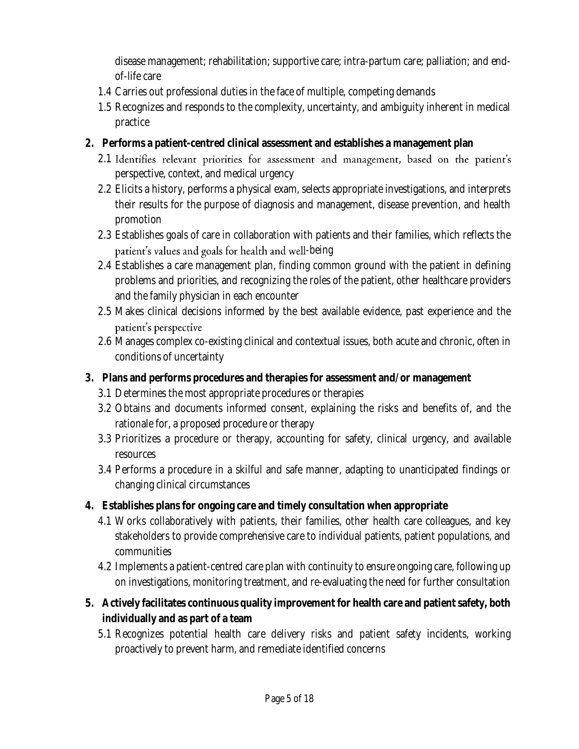disease management; rehabilitation; supportive care; intra-partum care; palliation; and endof-life care

- 1.4 Carries out professional duties in the face of multiple, competing demands
- 1.5 Recognizes and responds to the complexity, uncertainty, and ambiguity inherent in medical practice
- **2. Performs a patient-centred clinical assessment and establishes a management plan** 
	- 2.1 Identifies relevant priorities for assessment and management, based on the patient's perspective, context, and medical urgency
	- their results for the purpose of diagnosis and management, disease prevention, and health 2.2 Elicits a history, performs a physical exam, selects appropriate investigations, and interprets promotion
	- 2.3 Establishes goals of care in collaboration with patients and their families, which reflects the patient's values and goals for health and well-being
	- 2.4 Establishes a care management plan, finding common ground with the patient in defining problems and priorities, and recognizing the roles of the patient, other healthcare providers and the family physician in each encounter
	- 2.5 Makes clinical decisions informed by the best available evidence, past experience and the patient's perspective
	- 2.6 Manages complex co-existing clinical and contextual issues, both acute and chronic, often in conditions of uncertainty
- **3. Plans and performs procedures and therapies for assessment and/or management** 
	- 3.1 Determines the most appropriate procedures or therapies
	- 3.2 Obtains and documents informed consent, explaining the risks and benefits of, and the rationale for, a proposed procedure or therapy
	- 3.3 Prioritizes a procedure or therapy, accounting for safety, clinical urgency, and available resources
	- 3.4 Performs a procedure in a skilful and safe manner, adapting to unanticipated findings or changing clinical circumstances
- **4. Establishes plans for ongoing care and timely consultation when appropriate** 
	- 4.1 Works collaboratively with patients, their families, other health care colleagues, and key stakeholders to provide comprehensive care to individual patients, patient populations, and communities
	- 4.2 Implements a patient-centred care plan with continuity to ensure ongoing care, following up on investigations, monitoring treatment, and re-evaluating the need for further consultation
- **5. Actively facilitates continuous quality improvement for health care and patient safety, both individually and as part of a team** 
	- 5.1 Recognizes potential health care delivery risks and patient safety incidents, working proactively to prevent harm, and remediate identified concerns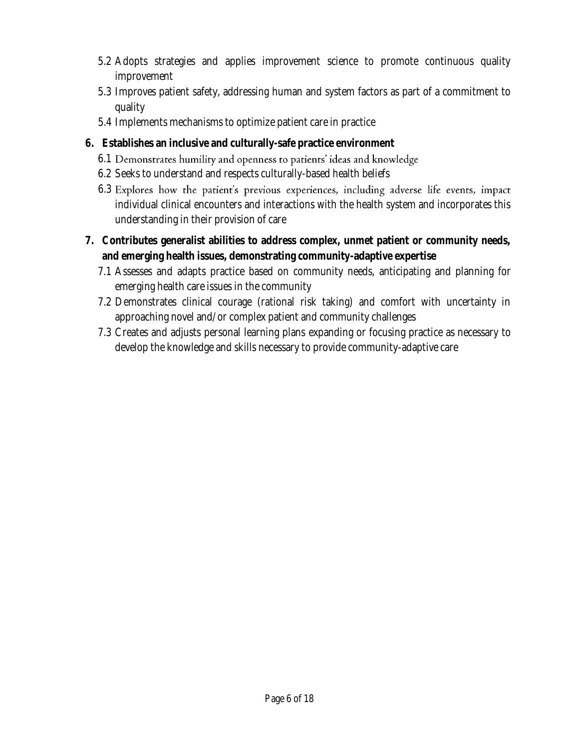- 5.2 Adopts strategies and applies improvement science to promote continuous quality improvement
- 5.3 Improves patient safety, addressing human and system factors as part of a commitment to quality
- 5.4 Implements mechanisms to optimize patient care in practice
- **6. Establishes an inclusive and culturally-safe practice environment** 
	- 6.1 Demonstrates humility and openness to patients' ideas and knowledge
	- 6.2 Seeks to understand and respects culturally-based health beliefs
	- individual clinical encounters and interactions with the health system and incorporates this understanding in their provision of care 6.3 Explores how the patient's previous experiences, including adverse life events, impact
- **7. Contributes generalist abilities to address complex, unmet patient or community needs, and emerging health issues, demonstrating community-adaptive expertise** 
	- 7.1 Assesses and adapts practice based on community needs, anticipating and planning for emerging health care issues in the community
	- 7.2 Demonstrates clinical courage (rational risk taking) and comfort with uncertainty in approaching novel and/or complex patient and community challenges
	- 7.3 Creates and adjusts personal learning plans expanding or focusing practice as necessary to develop the knowledge and skills necessary to provide community-adaptive care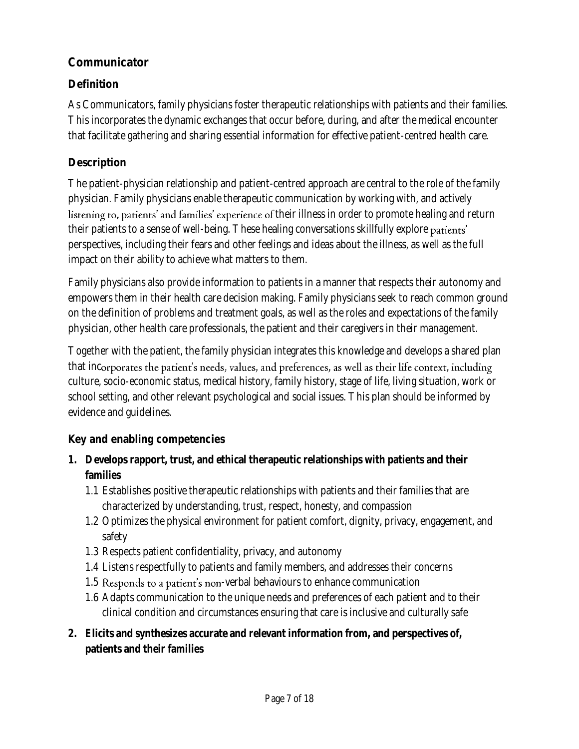## **Communicator**

## **Definition**

 This incorporates the dynamic exchanges that occur before, during, and after the medical encounter that facilitate gathering and sharing essential information for effective patient-centred health care. As Communicators, family physicians foster therapeutic relationships with patients and their families.

## **Description**

 The patient-physician relationship and patient-centred approach are central to the role of the family physician. Family physicians enable therapeutic communication by working with, and actively their illness in order to promote healing and return their patients to a sense of well-being. These healing conversations skillfully explore perspectives, including their fears and other feelings and ideas about the illness, as well as the full impact on their ability to achieve what matters to them.

 Family physicians also provide information to patients in a manner that respects their autonomy and empowers them in their health care decision making. Family physicians seek to reach common ground on the definition of problems and treatment goals, as well as the roles and expectations of the family physician, other health care professionals, the patient and their caregivers in their management.

 Together with the patient, the family physician integrates this knowledge and develops a shared plan culture, socio-economic status, medical history, family history, stage of life, living situation, work or school setting, and other relevant psychological and social issues. This plan should be informed by that incorporates the patient's needs, values, and preferences, as well as their life context, including evidence and guidelines.

- **1. Develops rapport, trust, and ethical therapeutic relationships with patients and their families** 
	- 1.1 Establishes positive therapeutic relationships with patients and their families that are characterized by understanding, trust, respect, honesty, and compassion
	- 1.2 Optimizes the physical environment for patient comfort, dignity, privacy, engagement, and safety
	- 1.3 Respects patient confidentiality, privacy, and autonomy
	- 1.4 Listens respectfully to patients and family members, and addresses their concerns
	- 1.5 Responds to a patient's non-verbal behaviours to enhance communication
	- 1.6 Adapts communication to the unique needs and preferences of each patient and to their clinical condition and circumstances ensuring that care is inclusive and culturally safe
- **2. Elicits and synthesizes accurate and relevant information from, and perspectives of, patients and their families**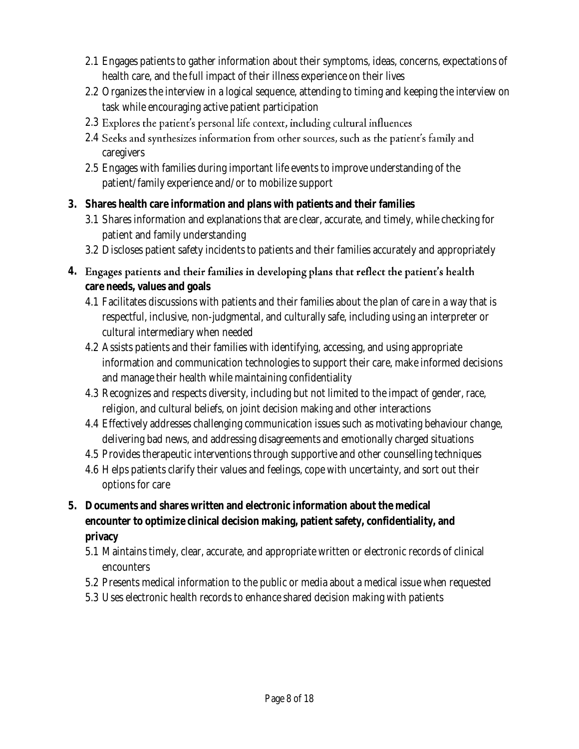- 2.1 Engages patients to gather information about their symptoms, ideas, concerns, expectations of health care, and the full impact of their illness experience on their lives
- 2.2 Organizes the interview in a logical sequence, attending to timing and keeping the interview on task while encouraging active patient participation
- 2.3 Explores the patient's personal life context, including cultural influences
- 2.4 Seeks and synthesizes information from other sources, such as the patient's family and caregivers
- 2.5 Engages with families during important life events to improve understanding of the patient/family experience and/or to mobilize support
- **3. Shares health care information and plans with patients and their families** 
	- 3.1 Shares information and explanations that are clear, accurate, and timely, while checking for patient and family understanding
	- 3.2 Discloses patient safety incidents to patients and their families accurately and appropriately
- 4. Engages patients and their families in developing plans that reflect the patient's health **care needs, values and goals** 
	- 4.1 Facilitates discussions with patients and their families about the plan of care in a way that is respectful, inclusive, non-judgmental, and culturally safe, including using an interpreter or cultural intermediary when needed
	- 4.2 Assists patients and their families with identifying, accessing, and using appropriate information and communication technologies to support their care, make informed decisions and manage their health while maintaining confidentiality
	- 4.3 Recognizes and respects diversity, including but not limited to the impact of gender, race, religion, and cultural beliefs, on joint decision making and other interactions
	- delivering bad news, and addressing disagreements and emotionally charged situations 4.4 Effectively addresses challenging communication issues such as motivating behaviour change,
	- 4.5 Provides therapeutic interventions through supportive and other counselling techniques
	- 4.6 Helps patients clarify their values and feelings, cope with uncertainty, and sort out their options for care
- **5. Documents and shares written and electronic information about the medical encounter to optimize clinical decision making, patient safety, confidentiality, and privacy** 
	- 5.1 Maintains timely, clear, accurate, and appropriate written or electronic records of clinical encounters
	- 5.2 Presents medical information to the public or media about a medical issue when requested
	- 5.3 Uses electronic health records to enhance shared decision making with patients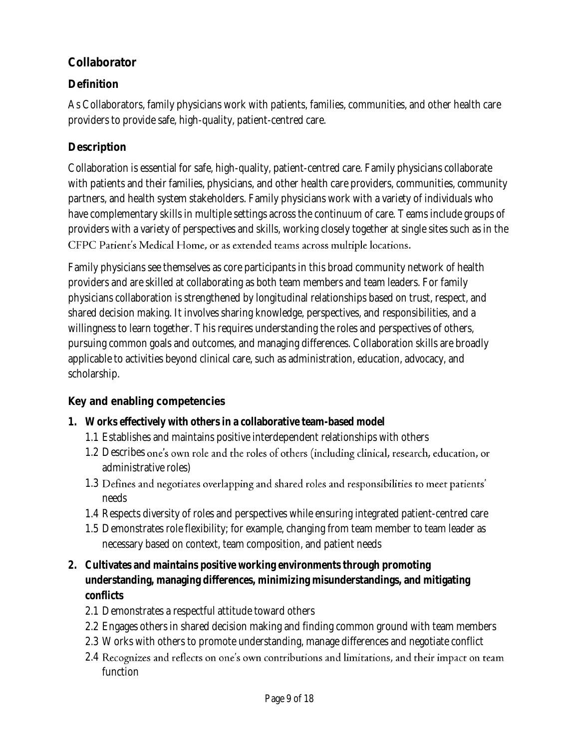## **Collaborator**

# **Definition**

 As Collaborators, family physicians work with patients, families, communities, and other health care providers to provide safe, high-quality, patient-centred care.

## **Description**

 Collaboration is essential for safe, high-quality, patient-centred care. Family physicians collaborate with patients and their families, physicians, and other health care providers, communities, community partners, and health system stakeholders. Family physicians work with a variety of individuals who have complementary skills in multiple settings across the continuum of care. Teams include groups of providers with a variety of perspectives and skills, working closely together at single sites such as in the CFPC Patient's Medical Home, or as extended teams across multiple locations.

 Family physicians see themselves as core participants in this broad community network of health providers and are skilled at collaborating as both team members and team leaders. For family shared decision making. It involves sharing knowledge, perspectives, and responsibilities, and a willingness to learn together. This requires understanding the roles and perspectives of others, pursuing common goals and outcomes, and managing differences. Collaboration skills are broadly applicable to activities beyond clinical care, such as administration, education, advocacy, and physicians collaboration is strengthened by longitudinal relationships based on trust, respect, and scholarship.

- **1. Works effectively with others in a collaborative team-based model** 
	- 1.1 Establishes and maintains positive interdependent relationships with others
	- 1.2 Describes one's own role and the roles of others (including clinical, research, education, or administrative roles)
	- 1.3 Defines and negotiates overlapping and shared roles and responsibilities to meet patients' needs
	- 1.4 Respects diversity of roles and perspectives while ensuring integrated patient-centred care
	- 1.5 Demonstrates role flexibility; for example, changing from team member to team leader as necessary based on context, team composition, and patient needs
- **2. Cultivates and maintains positive working environments through promoting understanding, managing differences, minimizing misunderstandings, and mitigating conflicts** 
	- 2.1 Demonstrates a respectful attitude toward others
	- 2.2 Engages others in shared decision making and finding common ground with team members
	- 2.3 Works with others to promote understanding, manage differences and negotiate conflict
	- 2.4 Recognizes and reflects on one's own contributions and limitations, and their impact on team function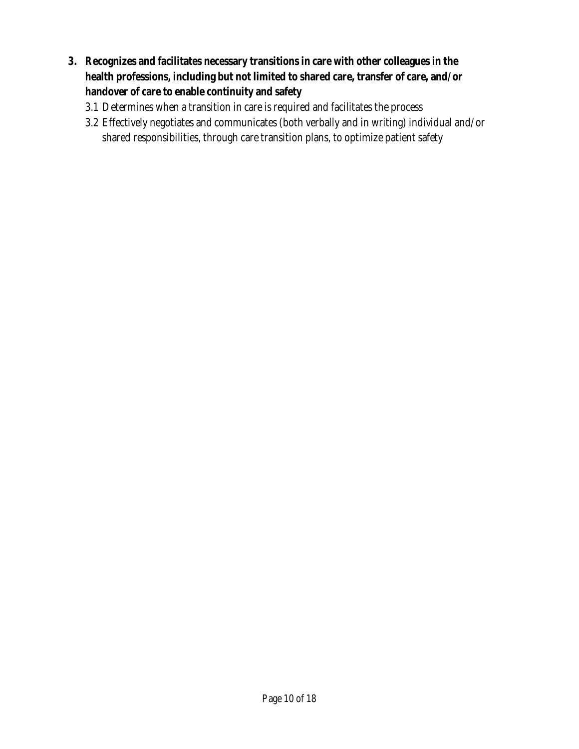- **3. Recognizes and facilitates necessary transitions in care with other colleagues in the health professions, including but not limited to shared care, transfer of care, and/or handover of care to enable continuity and safety** 
	- 3.1 Determines when a transition in care is required and facilitates the process
	- 3.2 Effectively negotiates and communicates (both verbally and in writing) individual and/or shared responsibilities, through care transition plans, to optimize patient safety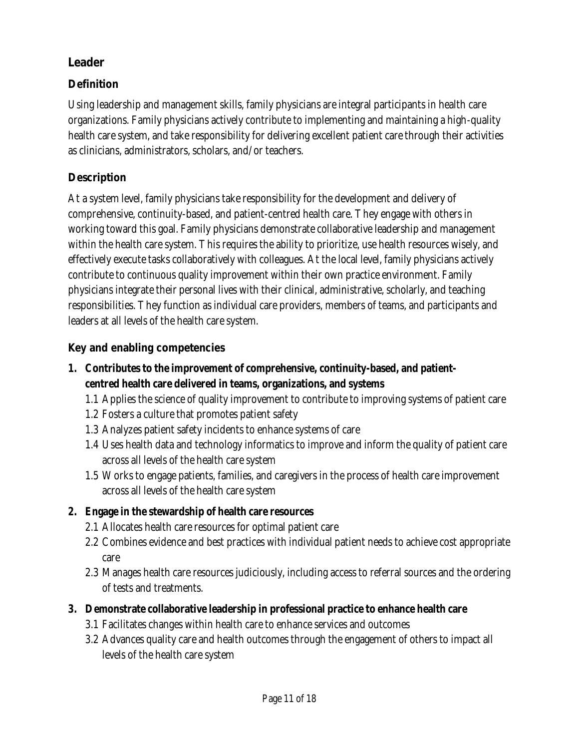#### **Leader**

## **Definition**

 Using leadership and management skills, family physicians are integral participants in health care organizations. Family physicians actively contribute to implementing and maintaining a high-quality health care system, and take responsibility for delivering excellent patient care through their activities as clinicians, administrators, scholars, and/or teachers.

#### **Description**

 At a system level, family physicians take responsibility for the development and delivery of comprehensive, continuity-based, and patient-centred health care. They engage with others in working toward this goal. Family physicians demonstrate collaborative leadership and management within the health care system. This requires the ability to prioritize, use health resources wisely, and effectively execute tasks collaboratively with colleagues. At the local level, family physicians actively contribute to continuous quality improvement within their own practice environment. Family physicians integrate their personal lives with their clinical, administrative, scholarly, and teaching responsibilities. They function as individual care providers, members of teams, and participants and leaders at all levels of the health care system.

- **1. Contributes to the improvement of comprehensive, continuity-based, and patientcentred health care delivered in teams, organizations, and systems** 
	- 1.1 Applies the science of quality improvement to contribute to improving systems of patient care
	- 1.2 Fosters a culture that promotes patient safety
	- 1.3 Analyzes patient safety incidents to enhance systems of care
	- 1.4 Uses health data and technology informatics to improve and inform the quality of patient care across all levels of the health care system
	- 1.5 Works to engage patients, families, and caregivers in the process of health care improvement across all levels of the health care system
- **2. Engage in the stewardship of health care resources** 
	- 2.1 Allocates health care resources for optimal patient care
	- 2.2 Combines evidence and best practices with individual patient needs to achieve cost appropriate care
	- 2.3 Manages health care resources judiciously, including access to referral sources and the ordering of tests and treatments.
- **3. Demonstrate collaborative leadership in professional practice to enhance health care** 
	- 3.1 Facilitates changes within health care to enhance services and outcomes
	- 3.2 Advances quality care and health outcomes through the engagement of others to impact all levels of the health care system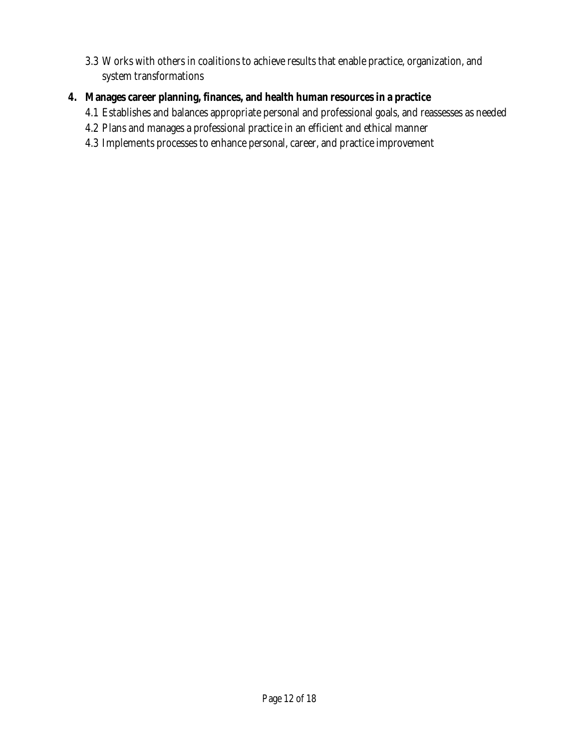- 3.3 Works with others in coalitions to achieve results that enable practice, organization, and system transformations
- **4. Manages career planning, finances, and health human resources in a practice** 
	- 4.1 Establishes and balances appropriate personal and professional goals, and reassesses as needed
	- 4.2 Plans and manages a professional practice in an efficient and ethical manner
	- 4.3 Implements processes to enhance personal, career, and practice improvement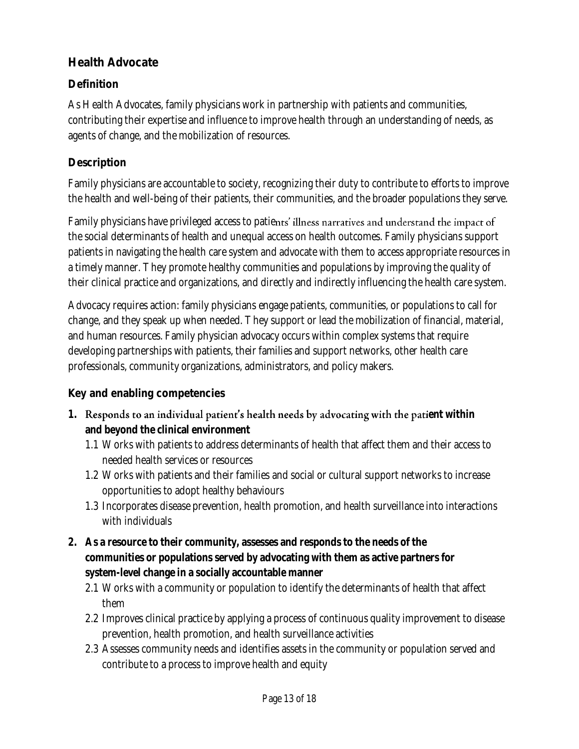## **Health Advocate**

## **Definition**

 As Health Advocates, family physicians work in partnership with patients and communities, contributing their expertise and influence to improve health through an understanding of needs, as agents of change, and the mobilization of resources.

## **Description**

 Family physicians are accountable to society, recognizing their duty to contribute to efforts to improve the health and well-being of their patients, their communities, and the broader populations they serve.

Family physicians have privileged access to patie $_{\rm r}$  the social determinants of health and unequal access on health outcomes. Family physicians support patients in navigating the health care system and advocate with them to access appropriate resources in a timely manner. They promote healthy communities and populations by improving the quality of their clinical practice and organizations, and directly and indirectly influencing the health care system.

 Advocacy requires action: family physicians engage patients, communities, or populations to call for change, and they speak up when needed. They support or lead the mobilization of financial, material, and human resources. Family physician advocacy occurs within complex systems that require developing partnerships with patients, their families and support networks, other health care professionals, community organizations, administrators, and policy makers.

- **1. Responds to an individual patient's health needs by advocating with the patient within and beyond the clinical environment** 
	- 1.1 Works with patients to address determinants of health that affect them and their access to needed health services or resources
	- 1.2 Works with patients and their families and social or cultural support networks to increase opportunities to adopt healthy behaviours
	- 1.3 Incorporates disease prevention, health promotion, and health surveillance into interactions with individuals
- **2. As a resource to their community, assesses and responds to the needs of the communities or populations served by advocating with them as active partners for system-level change in a socially accountable manner** 
	- 2.1 Works with a community or population to identify the determinants of health that affect them
	- 2.2 Improves clinical practice by applying a process of continuous quality improvement to disease prevention, health promotion, and health surveillance activities
	- 2.3 Assesses community needs and identifies assets in the community or population served and contribute to a process to improve health and equity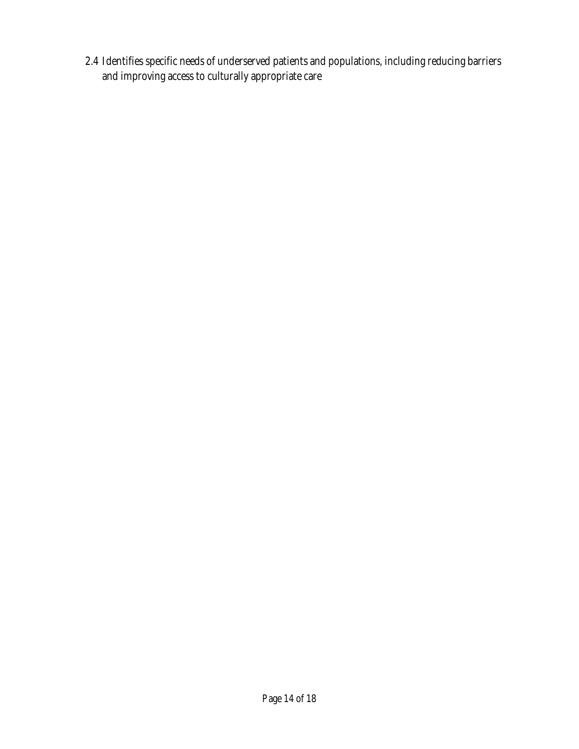2.4 Identifies specific needs of underserved patients and populations, including reducing barriers and improving access to culturally appropriate care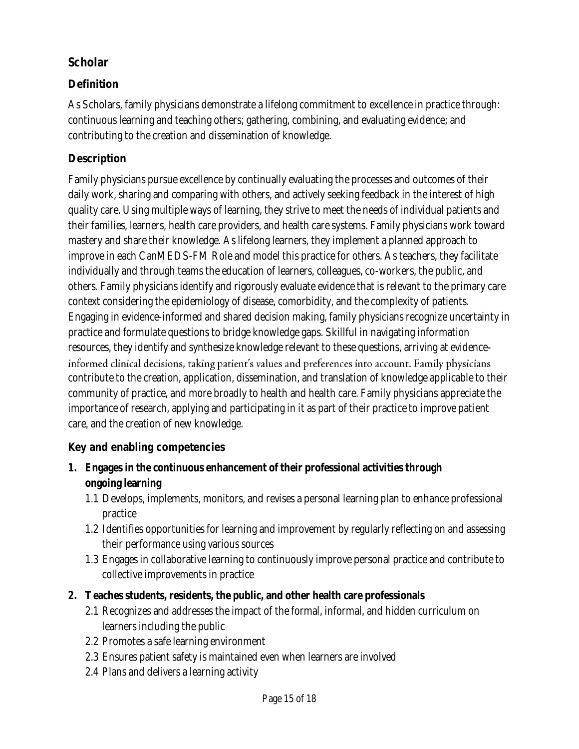## **Scholar**

## **Definition**

 As Scholars, family physicians demonstrate a lifelong commitment to excellence in practice through: continuous learning and teaching others; gathering, combining, and evaluating evidence; and contributing to the creation and dissemination of knowledge.

## **Description**

 Family physicians pursue excellence by continually evaluating the processes and outcomes of their daily work, sharing and comparing with others, and actively seeking feedback in the interest of high quality care. Using multiple ways of learning, they strive to meet the needs of individual patients and their families, learners, health care providers, and health care systems. Family physicians work toward mastery and share their knowledge. As lifelong learners, they implement a planned approach to improve in each CanMEDS-FM Role and model this practice for others. As teachers, they facilitate individually and through teams the education of learners, colleagues, co-workers, the public, and others. Family physicians identify and rigorously evaluate evidence that is relevant to the primary care context considering the epidemiology of disease, comorbidity, and the complexity of patients. Engaging in evidence-informed and shared decision making, family physicians recognize uncertainty in practice and formulate questions to bridge knowledge gaps. Skillful in navigating information resources, they identify and synthesize knowledge relevant to these questions, arriving at evidenceinformed clinical decisions, taking patient's values and preferences into account. Family physicians contribute to the creation, application, dissemination, and translation of knowledge applicable to their community of practice, and more broadly to health and health care. Family physicians appreciate the importance of research, applying and participating in it as part of their practice to improve patient care, and the creation of new knowledge.

- **1. Engages in the continuous enhancement of their professional activities through ongoing learning** 
	- 1.1 Develops, implements, monitors, and revises a personal learning plan to enhance professional practice
	- 1.2 Identifies opportunities for learning and improvement by regularly reflecting on and assessing their performance using various sources
	- 1.3 Engages in collaborative learning to continuously improve personal practice and contribute to collective improvements in practice
- **2. Teaches students, residents, the public, and other health care professionals** 
	- 2.1 Recognizes and addresses the impact of the formal, informal, and hidden curriculum on learners including the public
	- 2.2 Promotes a safe learning environment
	- 2.3 Ensures patient safety is maintained even when learners are involved
	- 2.4 Plans and delivers a learning activity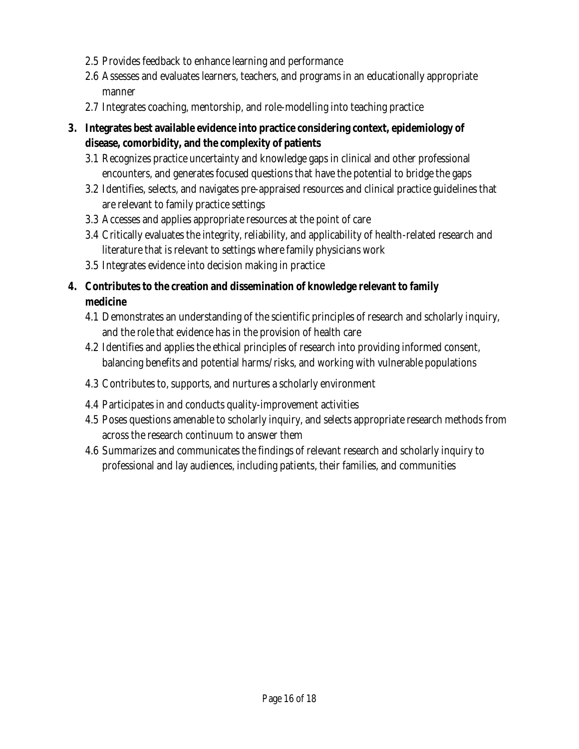- 2.5 Provides feedback to enhance learning and performance
- 2.6 Assesses and evaluates learners, teachers, and programs in an educationally appropriate manner
- 2.7 Integrates coaching, mentorship, and role-modelling into teaching practice
- **3. Integrates best available evidence into practice considering context, epidemiology of disease, comorbidity, and the complexity of patients** 
	- encounters, and generates focused questions that have the potential to bridge the gaps 3.1 Recognizes practice uncertainty and knowledge gaps in clinical and other professional
	- are relevant to family practice settings 3.2 Identifies, selects, and navigates pre-appraised resources and clinical practice guidelines that
	- 3.3 Accesses and applies appropriate resources at the point of care
	- literature that is relevant to settings where family physicians work 3.4 Critically evaluates the integrity, reliability, and applicability of health-related research and
	- 3.5 Integrates evidence into decision making in practice
- **4. Contributes to the creation and dissemination of knowledge relevant to family medicine** 
	- 4.1 Demonstrates an understanding of the scientific principles of research and scholarly inquiry, and the role that evidence has in the provision of health care
	- 4.2 Identifies and applies the ethical principles of research into providing informed consent, balancing benefits and potential harms/risks, and working with vulnerable populations
	- 4.3 Contributes to, supports, and nurtures a scholarly environment
	- 4.4 Participates in and conducts quality-improvement activities
	- 4.5 Poses questions amenable to scholarly inquiry, and selects appropriate research methods from across the research continuum to answer them
	- 4.6 Summarizes and communicates the findings of relevant research and scholarly inquiry to professional and lay audiences, including patients, their families, and communities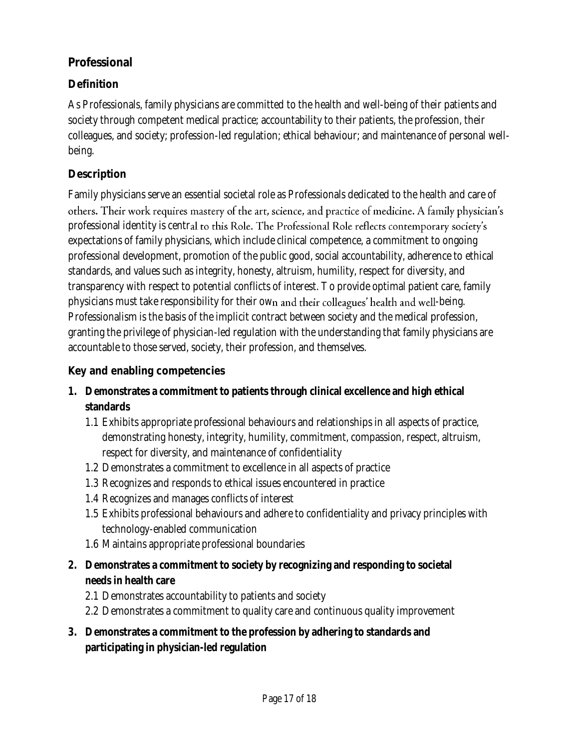#### **Professional**

## **Definition**

 As Professionals, family physicians are committed to the health and well-being of their patients and society through competent medical practice; accountability to their patients, the profession, their colleagues, and society; profession-led regulation; ethical behaviour; and maintenance of personal wellbeing.

#### **Description**

 Family physicians serve an essential societal role as Professionals dedicated to the health and care of others. Their work requires mastery of the art, science, and practice of medicine. A family physician's professional identity is centr expectations of family physicians, which include clinical competence, a commitment to ongoing professional development, promotion of the public good, social accountability, adherence to ethical standards, and values such as integrity, honesty, altruism, humility, respect for diversity, and transparency with respect to potential conflicts of interest. To provide optimal patient care, family physicians must take responsibility for their own and <del>their</del> colleagues' health and well-being.  $\,$  Professionalism is the basis of the implicit contract between society and the medical profession, granting the privilege of physician-led regulation with the understanding that family physicians are accountable to those served, society, their profession, and themselves.

- **1. Demonstrates a commitment to patients through clinical excellence and high ethical standards** 
	- respect for diversity, and maintenance of confidentiality 1.1 Exhibits appropriate professional behaviours and relationships in all aspects of practice, demonstrating honesty, integrity, humility, commitment, compassion, respect, altruism,
	- 1.2 Demonstrates a commitment to excellence in all aspects of practice
	- 1.3 Recognizes and responds to ethical issues encountered in practice
	- 1.4 Recognizes and manages conflicts of interest
	- 1.5 Exhibits professional behaviours and adhere to confidentiality and privacy principles with technology-enabled communication
	- 1.6 Maintains appropriate professional boundaries
- **2. Demonstrates a commitment to society by recognizing and responding to societal needs in health care** 
	- 2.1 Demonstrates accountability to patients and society
	- 2.2 Demonstrates a commitment to quality care and continuous quality improvement
- **3. Demonstrates a commitment to the profession by adhering to standards and participating in physician-led regulation**